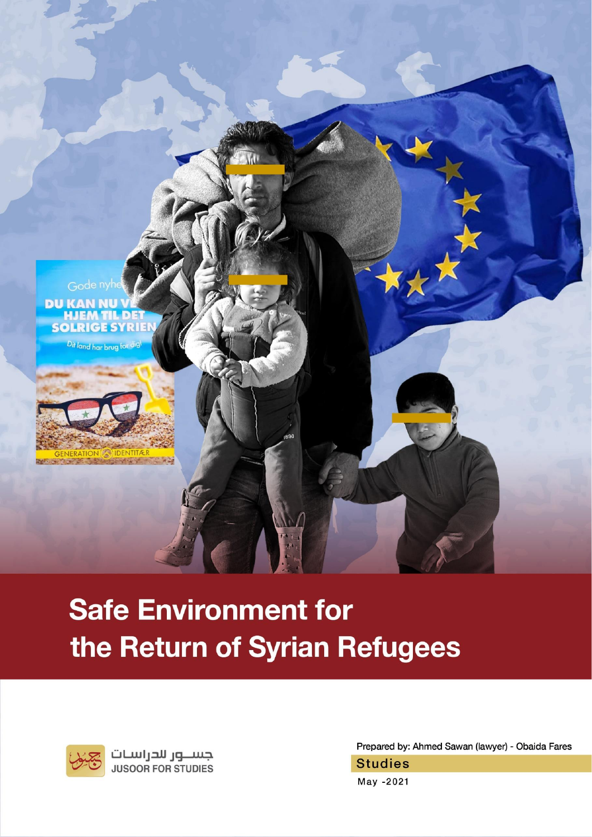

# **Safe Environment for** the Return of Syrian Refugees



جســـور للحراسـات<br>JUSOOR FOR STUDIES

Prepared by: Ahmed Sawan (lawyer) - Obaida Fares

**Studies** 

May -2021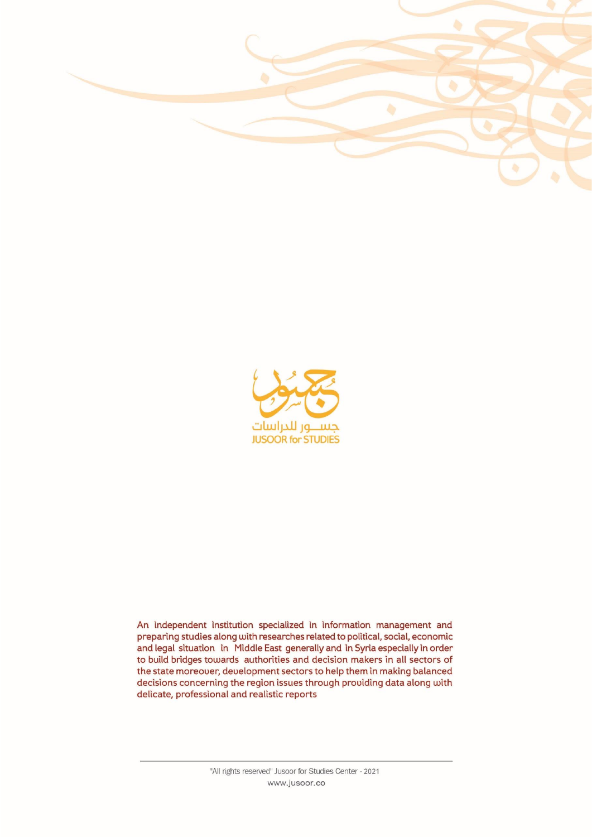



An independent institution specialized in information management and preparing studies along with researches related to political, social, economic and legal situation in Middle East generally and in Syria especially in order to build bridges towards authorities and decision makers in all sectors of the state moreover, development sectors to help them in making balanced decisions concerning the region issues through providing data along with delicate, professional and realistic reports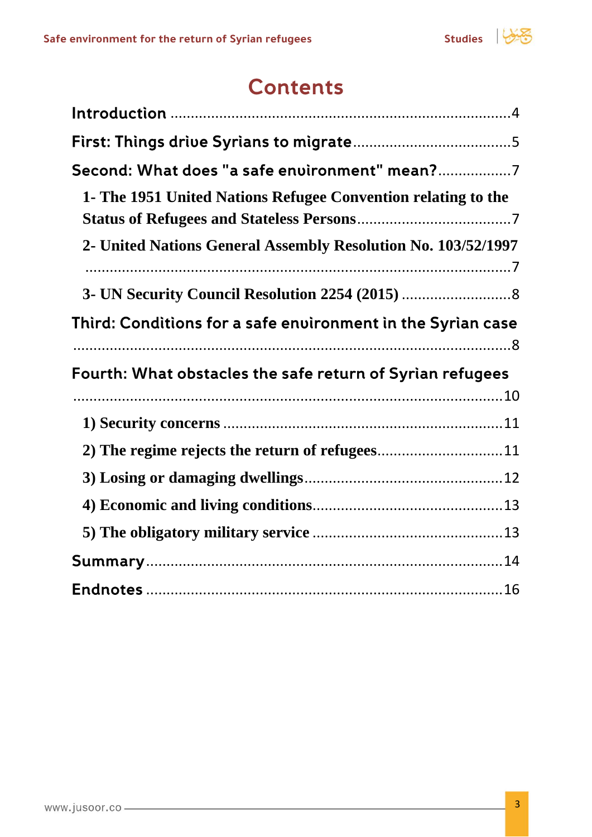

## **Contents**

| Second: What does "a safe environment" mean?7                 |  |
|---------------------------------------------------------------|--|
| 1- The 1951 United Nations Refugee Convention relating to the |  |
| 2- United Nations General Assembly Resolution No. 103/52/1997 |  |
|                                                               |  |
|                                                               |  |
| Third: Conditions for a safe environment in the Syrian case   |  |
| Fourth: What obstacles the safe return of Syrian refugees     |  |
|                                                               |  |
|                                                               |  |
| 2) The regime rejects the return of refugees11                |  |
|                                                               |  |
|                                                               |  |
|                                                               |  |
|                                                               |  |
|                                                               |  |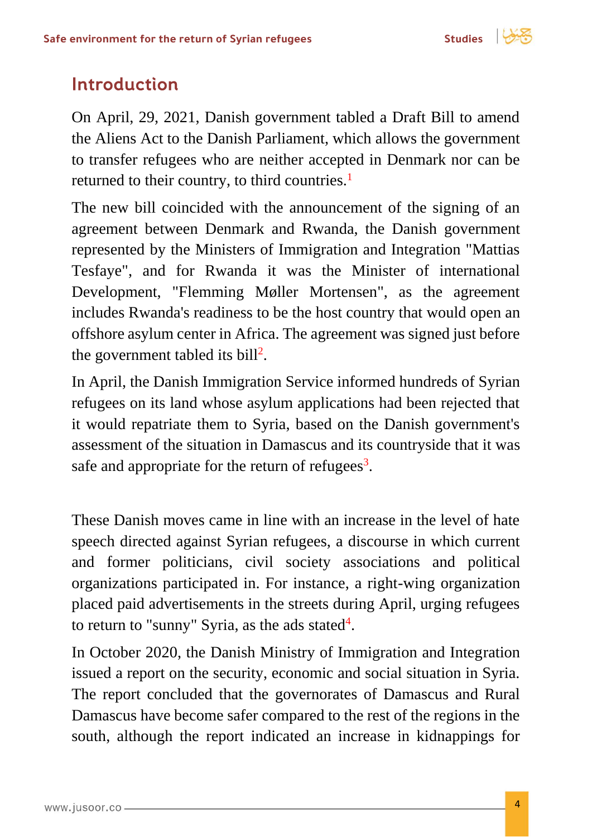

## <span id="page-3-0"></span>**Introduction**

On April, 29, 2021, Danish government tabled a Draft Bill to amend the Aliens Act to the Danish Parliament, which allows the government to transfer refugees who are neither accepted in Denmark nor can be returned to their country, to third countries.<sup>1</sup>

The new bill coincided with the announcement of the signing of an agreement between Denmark and Rwanda, the Danish government represented by the Ministers of Immigration and Integration "Mattias Tesfaye", and for Rwanda it was the Minister of international Development, "Flemming Møller Mortensen", as the agreement includes Rwanda's readiness to be the host country that would open an offshore asylum center in Africa. The agreement was signed just before the government tabled its bill<sup>2</sup>.

In April, the Danish Immigration Service informed hundreds of Syrian refugees on its land whose asylum applications had been rejected that it would repatriate them to Syria, based on the Danish government's assessment of the situation in Damascus and its countryside that it was safe and appropriate for the return of refugees $3$ .

These Danish moves came in line with an increase in the level of hate speech directed against Syrian refugees, a discourse in which current and former politicians, civil society associations and political organizations participated in. For instance, a right-wing organization placed paid advertisements in the streets during April, urging refugees to return to "sunny" Syria, as the ads stated $4$ .

In October 2020, the Danish Ministry of Immigration and Integration issued a report on the security, economic and social situation in Syria. The report concluded that the governorates of Damascus and Rural Damascus have become safer compared to the rest of the regions in the south, although the report indicated an increase in kidnappings for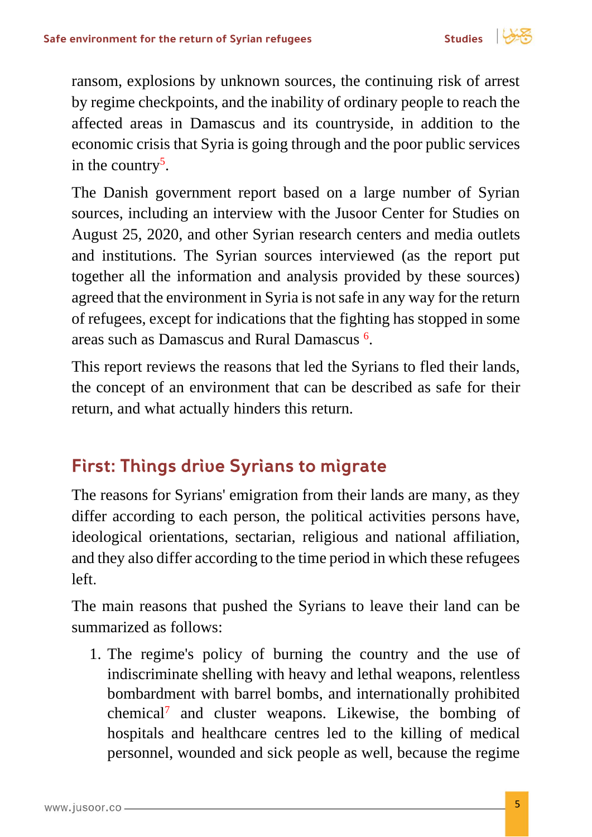

ransom, explosions by unknown sources, the continuing risk of arrest by regime checkpoints, and the inability of ordinary people to reach the affected areas in Damascus and its countryside, in addition to the economic crisis that Syria is going through and the poor public services in the country<sup>5</sup>.

The Danish government report based on a large number of Syrian sources, including an interview with the Jusoor Center for Studies on August 25, 2020, and other Syrian research centers and media outlets and institutions. The Syrian sources interviewed (as the report put together all the information and analysis provided by these sources) agreed that the environment in Syria is not safe in any way for the return of refugees, except for indications that the fighting has stopped in some areas such as Damascus and Rural Damascus <sup>6</sup> .

This report reviews the reasons that led the Syrians to fled their lands, the concept of an environment that can be described as safe for their return, and what actually hinders this return.

## <span id="page-4-0"></span>**First: Things drive Syrians to migrate**

The reasons for Syrians' emigration from their lands are many, as they differ according to each person, the political activities persons have, ideological orientations, sectarian, religious and national affiliation, and they also differ according to the time period in which these refugees left.

The main reasons that pushed the Syrians to leave their land can be summarized as follows:

1. The regime's policy of burning the country and the use of indiscriminate shelling with heavy and lethal weapons, relentless bombardment with barrel bombs, and internationally prohibited chemical<sup>7</sup> and cluster weapons. Likewise, the bombing of hospitals and healthcare centres led to the killing of medical personnel, wounded and sick people as well, because the regime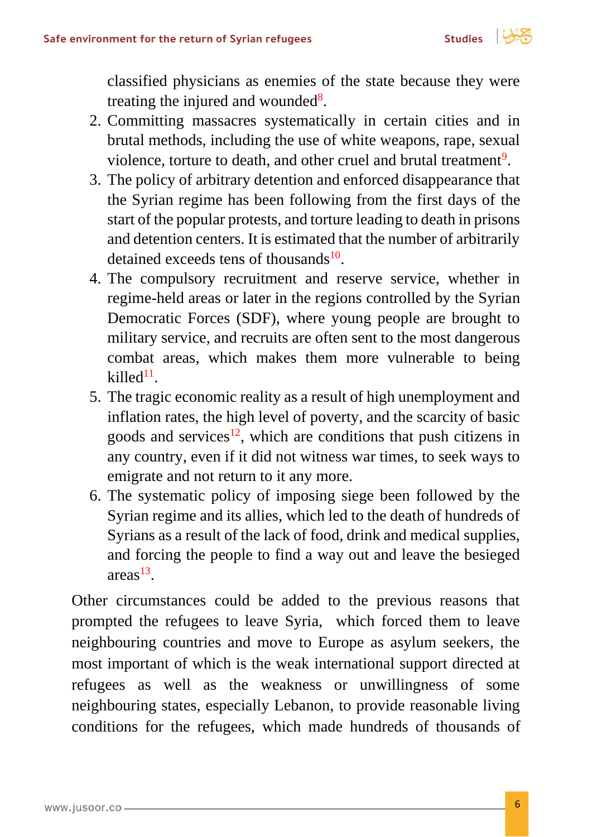

classified physicians as enemies of the state because they were treating the injured and wounded<sup>8</sup>.

- 2. Committing massacres systematically in certain cities and in brutal methods, including the use of white weapons, rape, sexual violence, torture to death, and other cruel and brutal treatment<sup>9</sup>.
- 3. The policy of arbitrary detention and enforced disappearance that the Syrian regime has been following from the first days of the start of the popular protests, and torture leading to death in prisons and detention centers. It is estimated that the number of arbitrarily detained exceeds tens of thousands<sup>10</sup>.
- 4. The compulsory recruitment and reserve service, whether in regime-held areas or later in the regions controlled by the Syrian Democratic Forces (SDF), where young people are brought to military service, and recruits are often sent to the most dangerous combat areas, which makes them more vulnerable to being  $killed<sup>11</sup>$ .
- 5. The tragic economic reality as a result of high unemployment and inflation rates, the high level of poverty, and the scarcity of basic goods and services<sup>12</sup>, which are conditions that push citizens in any country, even if it did not witness war times, to seek ways to emigrate and not return to it any more.
- 6. The systematic policy of imposing siege been followed by the Syrian regime and its allies, which led to the death of hundreds of Syrians as a result of the lack of food, drink and medical supplies, and forcing the people to find a way out and leave the besieged  $area<sup>13</sup>$ .

Other circumstances could be added to the previous reasons that prompted the refugees to leave Syria, which forced them to leave neighbouring countries and move to Europe as asylum seekers, the most important of which is the weak international support directed at refugees as well as the weakness or unwillingness of some neighbouring states, especially Lebanon, to provide reasonable living conditions for the refugees, which made hundreds of thousands of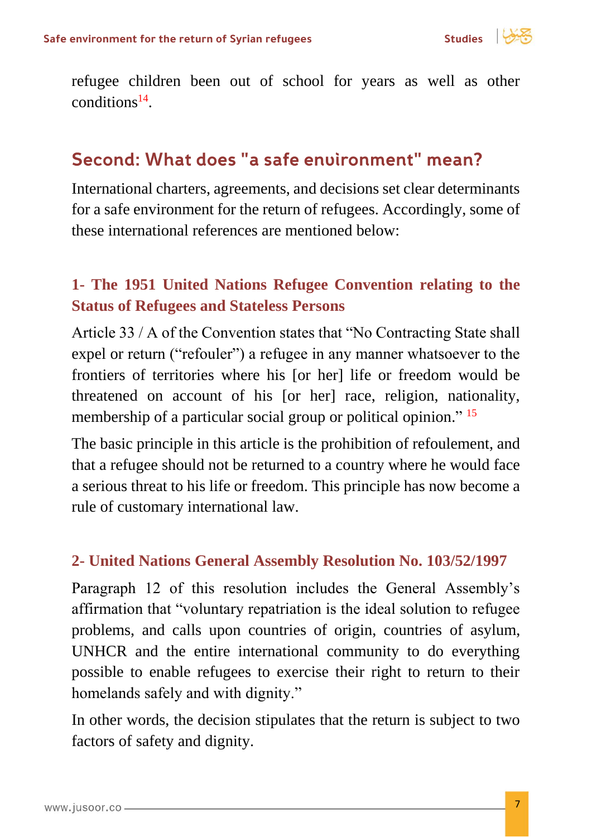

refugee children been out of school for years as well as other  $conditions<sup>14</sup>$ .

## <span id="page-6-0"></span>Second: What does "a safe environment" mean?

International charters, agreements, and decisions set clear determinants for a safe environment for the return of refugees. Accordingly, some of these international references are mentioned below:

## <span id="page-6-1"></span>**1- The 1951 United Nations Refugee Convention relating to the Status of Refugees and Stateless Persons**

Article 33 / A of the Convention states that "No Contracting State shall expel or return ("refouler") a refugee in any manner whatsoever to the frontiers of territories where his [or her] life or freedom would be threatened on account of his [or her] race, religion, nationality, membership of a particular social group or political opinion."<sup>15</sup>

The basic principle in this article is the prohibition of refoulement, and that a refugee should not be returned to a country where he would face a serious threat to his life or freedom. This principle has now become a rule of customary international law.

#### <span id="page-6-2"></span>**2- United Nations General Assembly Resolution No. 103/52/1997**

Paragraph 12 of this resolution includes the General Assembly's affirmation that "voluntary repatriation is the ideal solution to refugee problems, and calls upon countries of origin, countries of asylum, UNHCR and the entire international community to do everything possible to enable refugees to exercise their right to return to their homelands safely and with dignity."

In other words, the decision stipulates that the return is subject to two factors of safety and dignity.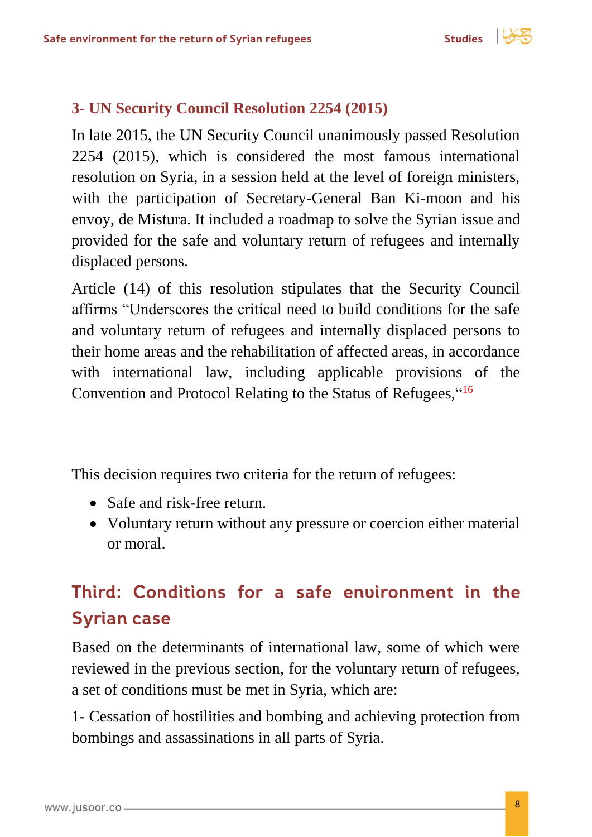$$
itudies \quad | \quad \sqrt{3}
$$

#### <span id="page-7-0"></span>**3- UN Security Council Resolution 2254 (2015)**

In late 2015, the UN Security Council unanimously passed Resolution 2254 (2015), which is considered the most famous international resolution on Syria, in a session held at the level of foreign ministers, with the participation of Secretary-General Ban Ki-moon and his envoy, de Mistura. It included a roadmap to solve the Syrian issue and provided for the safe and voluntary return of refugees and internally displaced persons.

Article (14) of this resolution stipulates that the Security Council affirms "Underscores the critical need to build conditions for the safe and voluntary return of refugees and internally displaced persons to their home areas and the rehabilitation of affected areas, in accordance with international law, including applicable provisions of the Convention and Protocol Relating to the Status of Refugees, "<sup>16</sup>

This decision requires two criteria for the return of refugees:

- Safe and risk-free return.
- Voluntary return without any pressure or coercion either material or moral.

# <span id="page-7-1"></span>Third: Conditions for a safe environment in the **Syrian case**

Based on the determinants of international law, some of which were reviewed in the previous section, for the voluntary return of refugees, a set of conditions must be met in Syria, which are:

1- Cessation of hostilities and bombing and achieving protection from bombings and assassinations in all parts of Syria.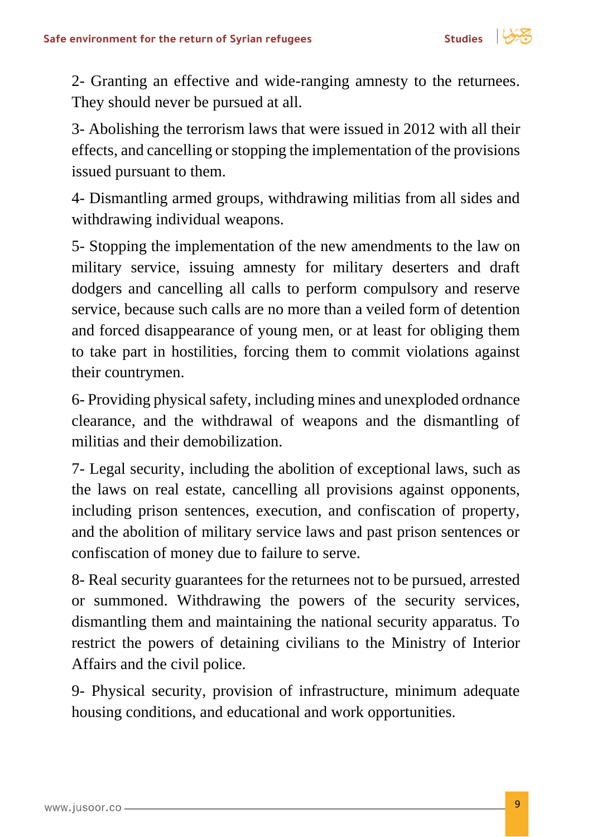

2- Granting an effective and wide-ranging amnesty to the returnees. They should never be pursued at all.

3- Abolishing the terrorism laws that were issued in 2012 with all their effects, and cancelling or stopping the implementation of the provisions issued pursuant to them.

4- Dismantling armed groups, withdrawing militias from all sides and withdrawing individual weapons.

5- Stopping the implementation of the new amendments to the law on military service, issuing amnesty for military deserters and draft dodgers and cancelling all calls to perform compulsory and reserve service, because such calls are no more than a veiled form of detention and forced disappearance of young men, or at least for obliging them to take part in hostilities, forcing them to commit violations against their countrymen.

6- Providing physical safety, including mines and unexploded ordnance clearance, and the withdrawal of weapons and the dismantling of militias and their demobilization.

7- Legal security, including the abolition of exceptional laws, such as the laws on real estate, cancelling all provisions against opponents, including prison sentences, execution, and confiscation of property, and the abolition of military service laws and past prison sentences or confiscation of money due to failure to serve.

8- Real security guarantees for the returnees not to be pursued, arrested or summoned. Withdrawing the powers of the security services, dismantling them and maintaining the national security apparatus. To restrict the powers of detaining civilians to the Ministry of Interior Affairs and the civil police.

9- Physical security, provision of infrastructure, minimum adequate housing conditions, and educational and work opportunities.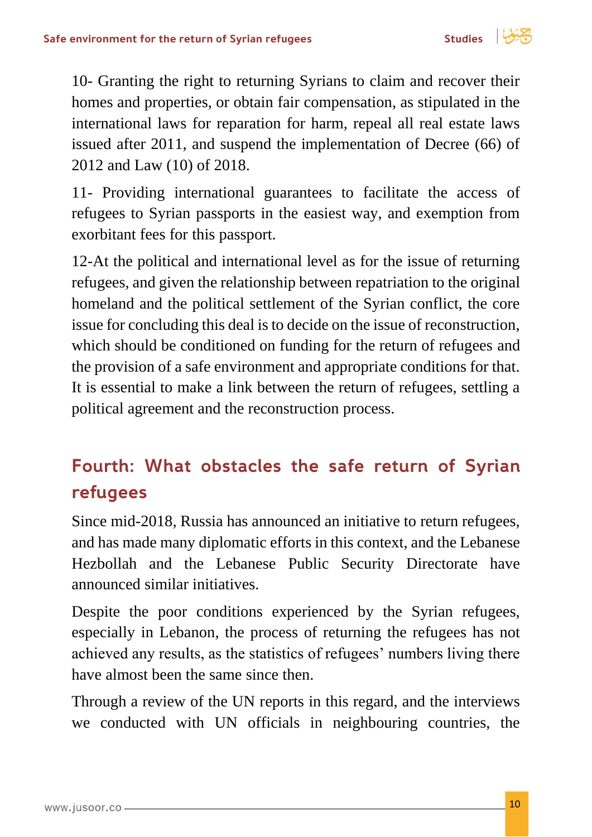

10- Granting the right to returning Syrians to claim and recover their homes and properties, or obtain fair compensation, as stipulated in the international laws for reparation for harm, repeal all real estate laws issued after 2011, and suspend the implementation of Decree (66) of 2012 and Law (10) of 2018.

11- Providing international guarantees to facilitate the access of refugees to Syrian passports in the easiest way, and exemption from exorbitant fees for this passport.

12-At the political and international level as for the issue of returning refugees, and given the relationship between repatriation to the original homeland and the political settlement of the Syrian conflict, the core issue for concluding this deal is to decide on the issue of reconstruction, which should be conditioned on funding for the return of refugees and the provision of a safe environment and appropriate conditions for that. It is essential to make a link between the return of refugees, settling a political agreement and the reconstruction process.

## <span id="page-9-0"></span>Fourth: What obstacles the safe return of Syrian refugees

Since mid-2018, Russia has announced an initiative to return refugees, and has made many diplomatic efforts in this context, and the Lebanese Hezbollah and the Lebanese Public Security Directorate have announced similar initiatives.

Despite the poor conditions experienced by the Syrian refugees, especially in Lebanon, the process of returning the refugees has not achieved any results, as the statistics of refugees' numbers living there have almost been the same since then.

Through a review of the UN reports in this regard, and the interviews we conducted with UN officials in neighbouring countries, the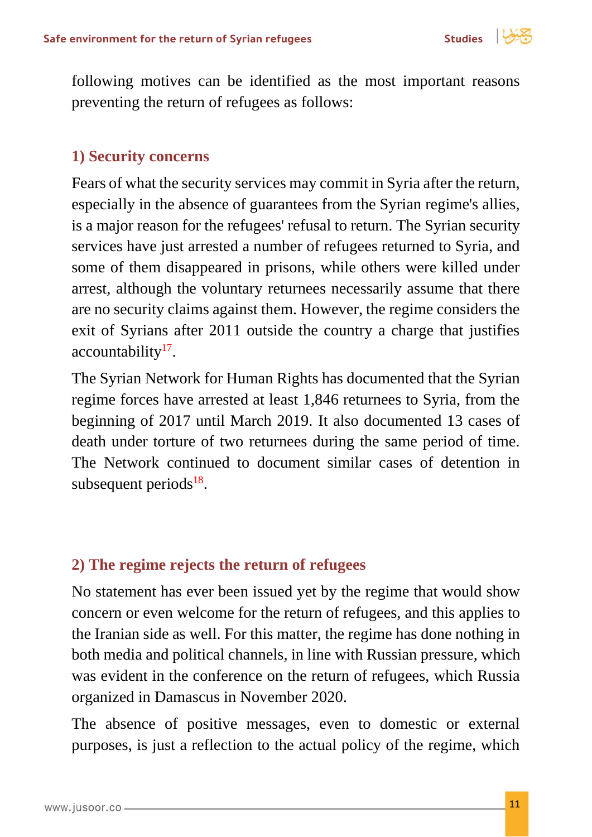

following motives can be identified as the most important reasons preventing the return of refugees as follows:

#### <span id="page-10-0"></span>**1) Security concerns**

Fears of what the security services may commit in Syria after the return, especially in the absence of guarantees from the Syrian regime's allies, is a major reason for the refugees' refusal to return. The Syrian security services have just arrested a number of refugees returned to Syria, and some of them disappeared in prisons, while others were killed under arrest, although the voluntary returnees necessarily assume that there are no security claims against them. However, the regime considers the exit of Syrians after 2011 outside the country a charge that justifies accountability<sup>17</sup>.

The Syrian Network for Human Rights has documented that the Syrian regime forces have arrested at least 1,846 returnees to Syria, from the beginning of 2017 until March 2019. It also documented 13 cases of death under torture of two returnees during the same period of time. The Network continued to document similar cases of detention in subsequent periods $18$ .

#### <span id="page-10-1"></span>**2) The regime rejects the return of refugees**

No statement has ever been issued yet by the regime that would show concern or even welcome for the return of refugees, and this applies to the Iranian side as well. For this matter, the regime has done nothing in both media and political channels, in line with Russian pressure, which was evident in the conference on the return of refugees, which Russia organized in Damascus in November 2020.

The absence of positive messages, even to domestic or external purposes, is just a reflection to the actual policy of the regime, which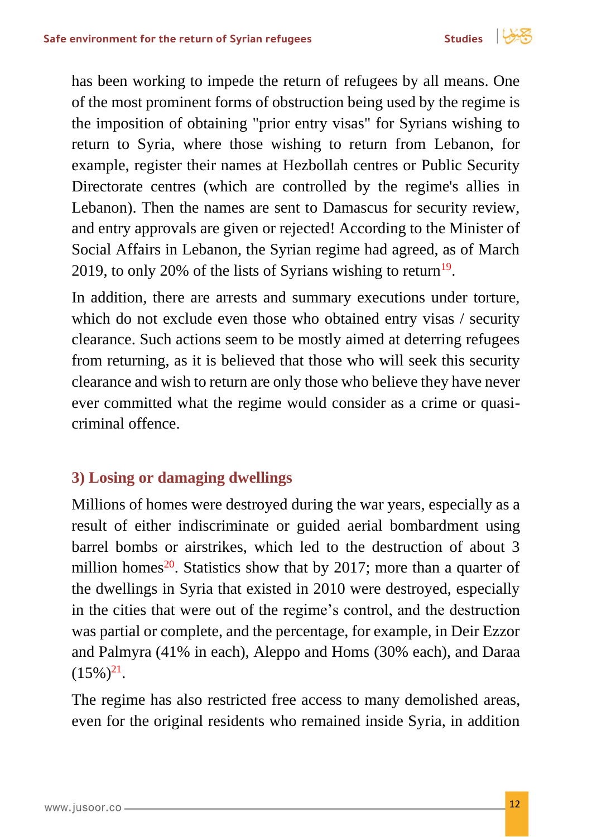

has been working to impede the return of refugees by all means. One of the most prominent forms of obstruction being used by the regime is the imposition of obtaining "prior entry visas" for Syrians wishing to return to Syria, where those wishing to return from Lebanon, for example, register their names at Hezbollah centres or Public Security Directorate centres (which are controlled by the regime's allies in Lebanon). Then the names are sent to Damascus for security review, and entry approvals are given or rejected! According to the Minister of Social Affairs in Lebanon, the Syrian regime had agreed, as of March 2019, to only 20% of the lists of Syrians wishing to return<sup>19</sup>.

In addition, there are arrests and summary executions under torture, which do not exclude even those who obtained entry visas / security clearance. Such actions seem to be mostly aimed at deterring refugees from returning, as it is believed that those who will seek this security clearance and wish to return are only those who believe they have never ever committed what the regime would consider as a crime or quasicriminal offence.

## <span id="page-11-0"></span>**3) Losing or damaging dwellings**

Millions of homes were destroyed during the war years, especially as a result of either indiscriminate or guided aerial bombardment using barrel bombs or airstrikes, which led to the destruction of about 3 million homes<sup>20</sup>. Statistics show that by 2017; more than a quarter of the dwellings in Syria that existed in 2010 were destroyed, especially in the cities that were out of the regime's control, and the destruction was partial or complete, and the percentage, for example, in Deir Ezzor and Palmyra (41% in each), Aleppo and Homs (30% each), and Daraa  $(15\%)^{21}$ .

The regime has also restricted free access to many demolished areas, even for the original residents who remained inside Syria, in addition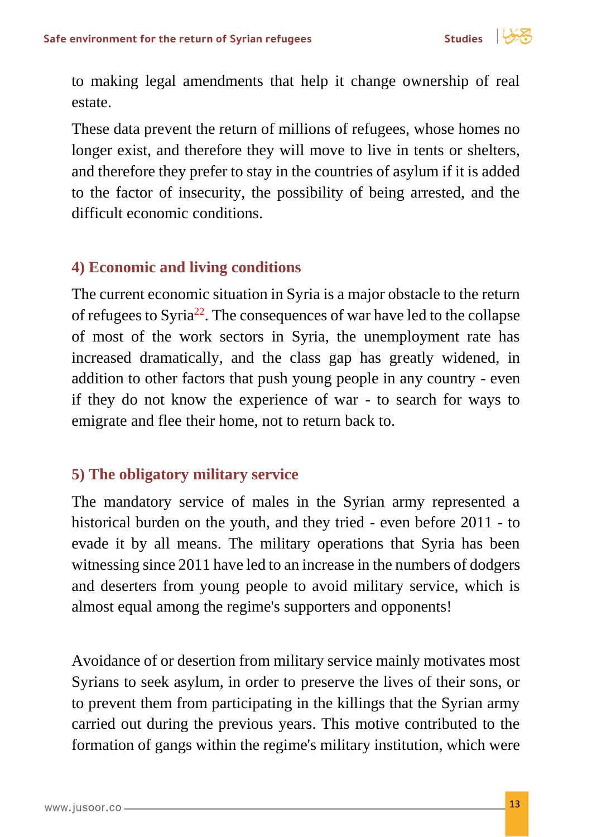

to making legal amendments that help it change ownership of real estate.

These data prevent the return of millions of refugees, whose homes no longer exist, and therefore they will move to live in tents or shelters, and therefore they prefer to stay in the countries of asylum if it is added to the factor of insecurity, the possibility of being arrested, and the difficult economic conditions.

#### <span id="page-12-0"></span>**4) Economic and living conditions**

The current economic situation in Syria is a major obstacle to the return of refugees to Syria<sup>22</sup>. The consequences of war have led to the collapse of most of the work sectors in Syria, the unemployment rate has increased dramatically, and the class gap has greatly widened, in addition to other factors that push young people in any country - even if they do not know the experience of war - to search for ways to emigrate and flee their home, not to return back to.

#### <span id="page-12-1"></span>**5) The obligatory military service**

The mandatory service of males in the Syrian army represented a historical burden on the youth, and they tried - even before 2011 - to evade it by all means. The military operations that Syria has been witnessing since 2011 have led to an increase in the numbers of dodgers and deserters from young people to avoid military service, which is almost equal among the regime's supporters and opponents!

Avoidance of or desertion from military service mainly motivates most Syrians to seek asylum, in order to preserve the lives of their sons, or to prevent them from participating in the killings that the Syrian army carried out during the previous years. This motive contributed to the formation of gangs within the regime's military institution, which were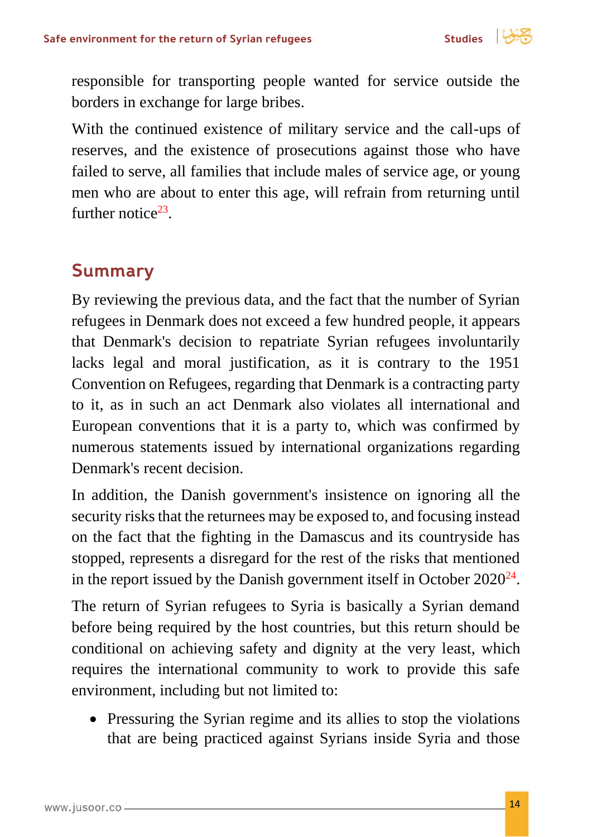

responsible for transporting people wanted for service outside the borders in exchange for large bribes.

With the continued existence of military service and the call-ups of reserves, and the existence of prosecutions against those who have failed to serve, all families that include males of service age, or young men who are about to enter this age, will refrain from returning until further notice $23$ .

## <span id="page-13-0"></span>**Summary**

By reviewing the previous data, and the fact that the number of Syrian refugees in Denmark does not exceed a few hundred people, it appears that Denmark's decision to repatriate Syrian refugees involuntarily lacks legal and moral justification, as it is contrary to the 1951 Convention on Refugees, regarding that Denmark is a contracting party to it, as in such an act Denmark also violates all international and European conventions that it is a party to, which was confirmed by numerous statements issued by international organizations regarding Denmark's recent decision.

In addition, the Danish government's insistence on ignoring all the security risks that the returnees may be exposed to, and focusing instead on the fact that the fighting in the Damascus and its countryside has stopped, represents a disregard for the rest of the risks that mentioned in the report issued by the Danish government itself in October  $2020^{24}$ .

The return of Syrian refugees to Syria is basically a Syrian demand before being required by the host countries, but this return should be conditional on achieving safety and dignity at the very least, which requires the international community to work to provide this safe environment, including but not limited to:

• Pressuring the Syrian regime and its allies to stop the violations that are being practiced against Syrians inside Syria and those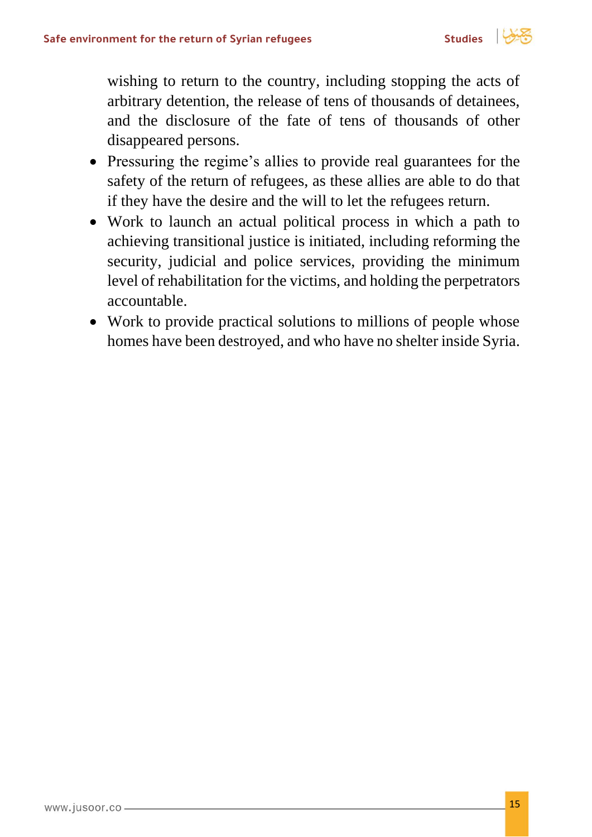

wishing to return to the country, including stopping the acts of arbitrary detention, the release of tens of thousands of detainees, and the disclosure of the fate of tens of thousands of other disappeared persons.

- Pressuring the regime's allies to provide real guarantees for the safety of the return of refugees, as these allies are able to do that if they have the desire and the will to let the refugees return.
- Work to launch an actual political process in which a path to achieving transitional justice is initiated, including reforming the security, judicial and police services, providing the minimum level of rehabilitation for the victims, and holding the perpetrators accountable.
- Work to provide practical solutions to millions of people whose homes have been destroyed, and who have no shelter inside Syria.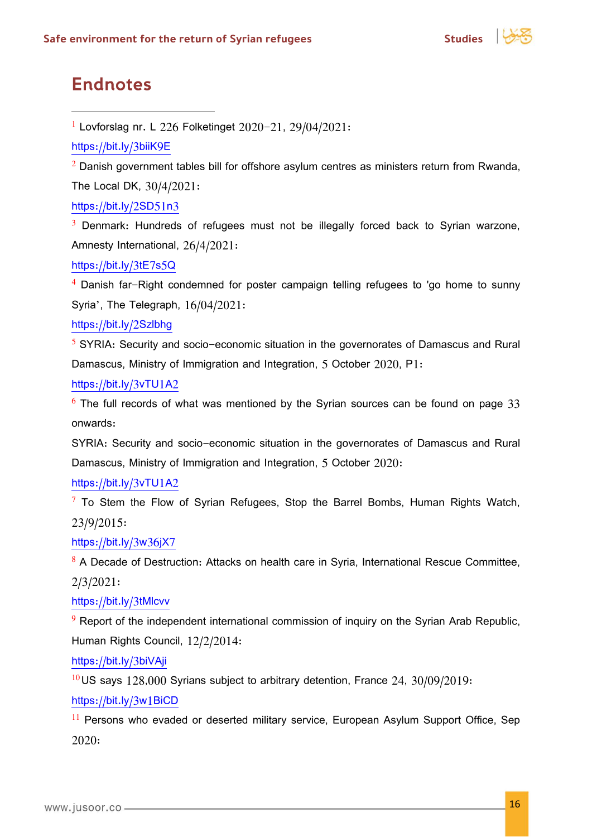

## <span id="page-15-0"></span>**Endnotes**

<sup>1</sup> Lovforslag nr. L 226 Folketinget 2020-21, 29/04/2021:

<https://bit.ly/3biiK9E>

 $2$  Danish government tables bill for offshore asylum centres as ministers return from Rwanda, The Local DK, 30/4/2021:

<https://bit.ly/2SD51n3>

 $3$  Denmark: Hundreds of refugees must not be illegally forced back to Syrian warzone, Amnesty International, 26/4/2021:

<https://bit.ly/3tE7s5Q>

<sup>4</sup> Danish far-Right condemned for poster campaign telling refugees to 'go home to sunny Syria', The Telegraph, 16/04/2021:

<https://bit.ly/2Szlbhg>

<sup>5</sup> SYRIA: Security and socio-economic situation in the governorates of Damascus and Rural Damascus, Ministry of Immigration and Integration, 5 October 2020, P1:

<https://bit.ly/3vTU1A2>

 $6$  The full records of what was mentioned by the Syrian sources can be found on page 33 onwards:

SYRIA: Security and socio-economic situation in the governorates of Damascus and Rural Damascus, Ministry of Immigration and Integration, 5 October 2020:

<https://bit.ly/3vTU1A2>

 $7$  To Stem the Flow of Syrian Refugees, Stop the Barrel Bombs, Human Rights Watch, 23/9/2015:

<https://bit.ly/3w36jX7>

<sup>8</sup> A Decade of Destruction: Attacks on health care in Syria, International Rescue Committee, 2/3/2021:

<https://bit.ly/3tMlcvv>

 $9$  Report of the independent international commission of inquiry on the Syrian Arab Republic, Human Rights Council, 12/2/2014:

<https://bit.ly/3biVAji>

 $10$  US says 128,000 Syrians subject to arbitrary detention, France 24, 30/09/2019:

<https://bit.ly/3w1BiCD>

<sup>11</sup> Persons who evaded or deserted military service, European Asylum Support Office, Sep 2020: